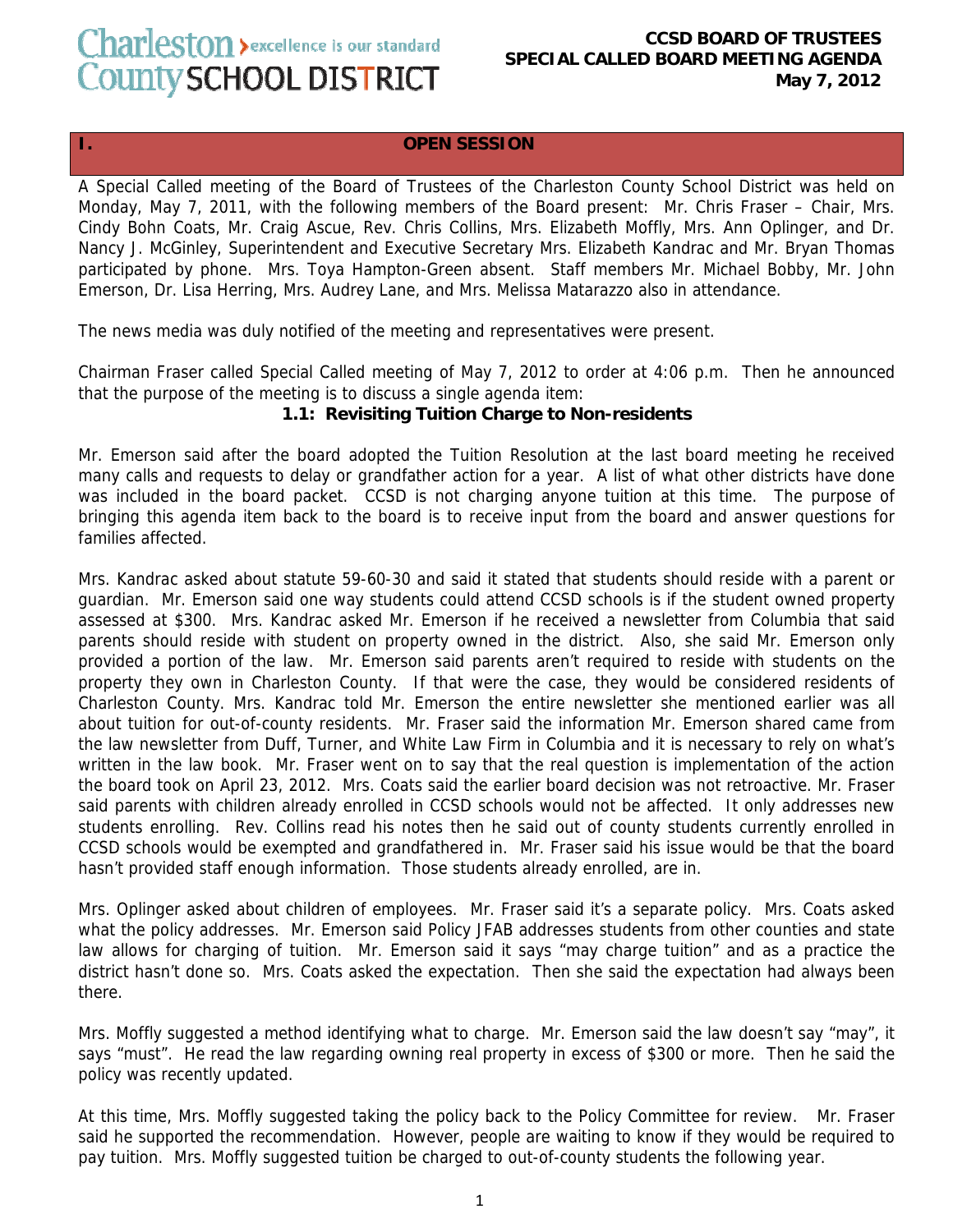## Charleston > excellence is our standard County SCHOOL DISTRICT

## **CCSD BOARD OF TRUSTEES SPECIAL CALLED BOARD MEETING AGENDA May 7, 2012**

## **I. OPEN SESSION**

A Special Called meeting of the Board of Trustees of the Charleston County School District was held on Monday, May 7, 2011, with the following members of the Board present: Mr. Chris Fraser – Chair, Mrs. Cindy Bohn Coats, Mr. Craig Ascue, Rev. Chris Collins, Mrs. Elizabeth Moffly, Mrs. Ann Oplinger, and Dr. Nancy J. McGinley, Superintendent and Executive Secretary Mrs. Elizabeth Kandrac and Mr. Bryan Thomas participated by phone. Mrs. Toya Hampton-Green absent. Staff members Mr. Michael Bobby, Mr. John Emerson, Dr. Lisa Herring, Mrs. Audrey Lane, and Mrs. Melissa Matarazzo also in attendance.

The news media was duly notified of the meeting and representatives were present.

Chairman Fraser called Special Called meeting of May 7, 2012 to order at 4:06 p.m. Then he announced that the purpose of the meeting is to discuss a single agenda item:

## **1.1: Revisiting Tuition Charge to Non-residents**

Mr. Emerson said after the board adopted the Tuition Resolution at the last board meeting he received many calls and requests to delay or grandfather action for a year. A list of what other districts have done was included in the board packet. CCSD is not charging anyone tuition at this time. The purpose of bringing this agenda item back to the board is to receive input from the board and answer questions for families affected.

Mrs. Kandrac asked about statute 59-60-30 and said it stated that students should reside with a parent or guardian. Mr. Emerson said one way students could attend CCSD schools is if the student owned property assessed at \$300. Mrs. Kandrac asked Mr. Emerson if he received a newsletter from Columbia that said parents should reside with student on property owned in the district. Also, she said Mr. Emerson only provided a portion of the law. Mr. Emerson said parents aren't required to reside with students on the property they own in Charleston County. If that were the case, they would be considered residents of Charleston County. Mrs. Kandrac told Mr. Emerson the entire newsletter she mentioned earlier was all about tuition for out-of-county residents. Mr. Fraser said the information Mr. Emerson shared came from the law newsletter from Duff, Turner, and White Law Firm in Columbia and it is necessary to rely on what's written in the law book. Mr. Fraser went on to say that the real question is implementation of the action the board took on April 23, 2012. Mrs. Coats said the earlier board decision was not retroactive. Mr. Fraser said parents with children already enrolled in CCSD schools would not be affected. It only addresses new students enrolling. Rev. Collins read his notes then he said out of county students currently enrolled in CCSD schools would be exempted and grandfathered in. Mr. Fraser said his issue would be that the board hasn't provided staff enough information. Those students already enrolled, are in.

Mrs. Oplinger asked about children of employees. Mr. Fraser said it's a separate policy. Mrs. Coats asked what the policy addresses. Mr. Emerson said Policy JFAB addresses students from other counties and state law allows for charging of tuition. Mr. Emerson said it says "may charge tuition" and as a practice the district hasn't done so. Mrs. Coats asked the expectation. Then she said the expectation had always been there.

Mrs. Moffly suggested a method identifying what to charge. Mr. Emerson said the law doesn't say "may", it says "must". He read the law regarding owning real property in excess of \$300 or more. Then he said the policy was recently updated.

At this time, Mrs. Moffly suggested taking the policy back to the Policy Committee for review. Mr. Fraser said he supported the recommendation. However, people are waiting to know if they would be required to pay tuition. Mrs. Moffly suggested tuition be charged to out-of-county students the following year.